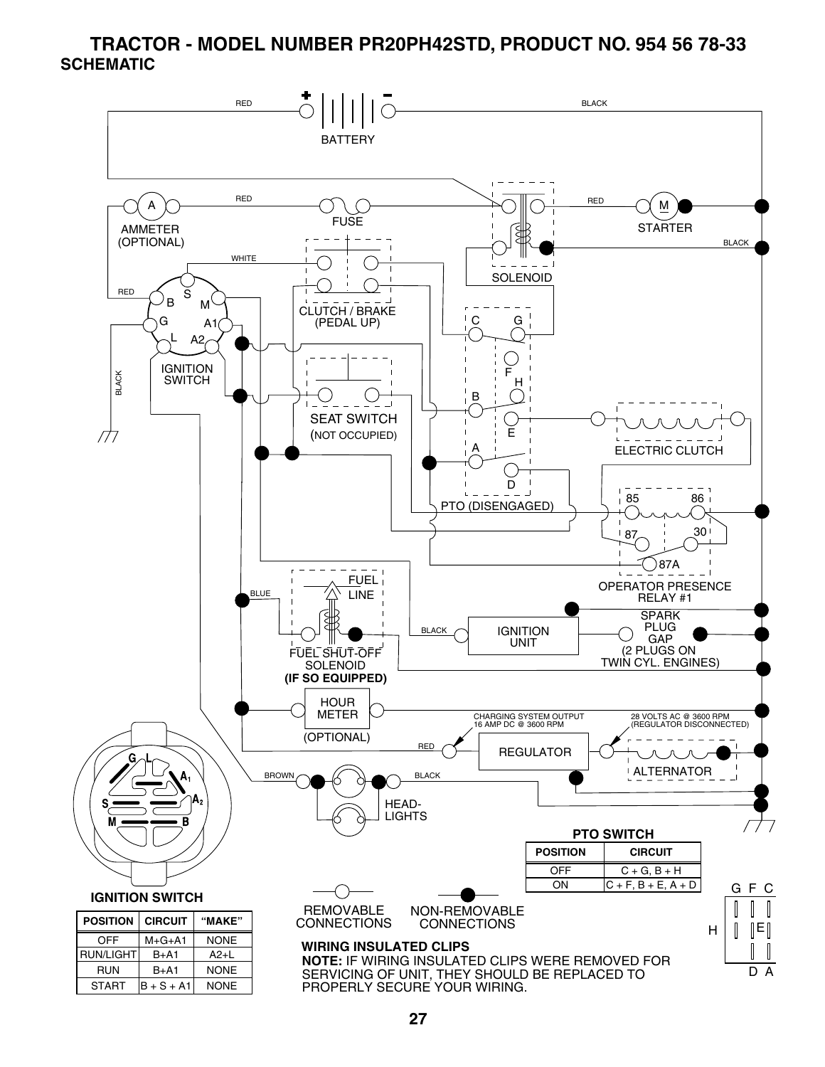#### **TRACTOR - MODEL NUMBER PR20PH42STD, PRODUCT NO. 954 56 78-33 SCHEMATIC**

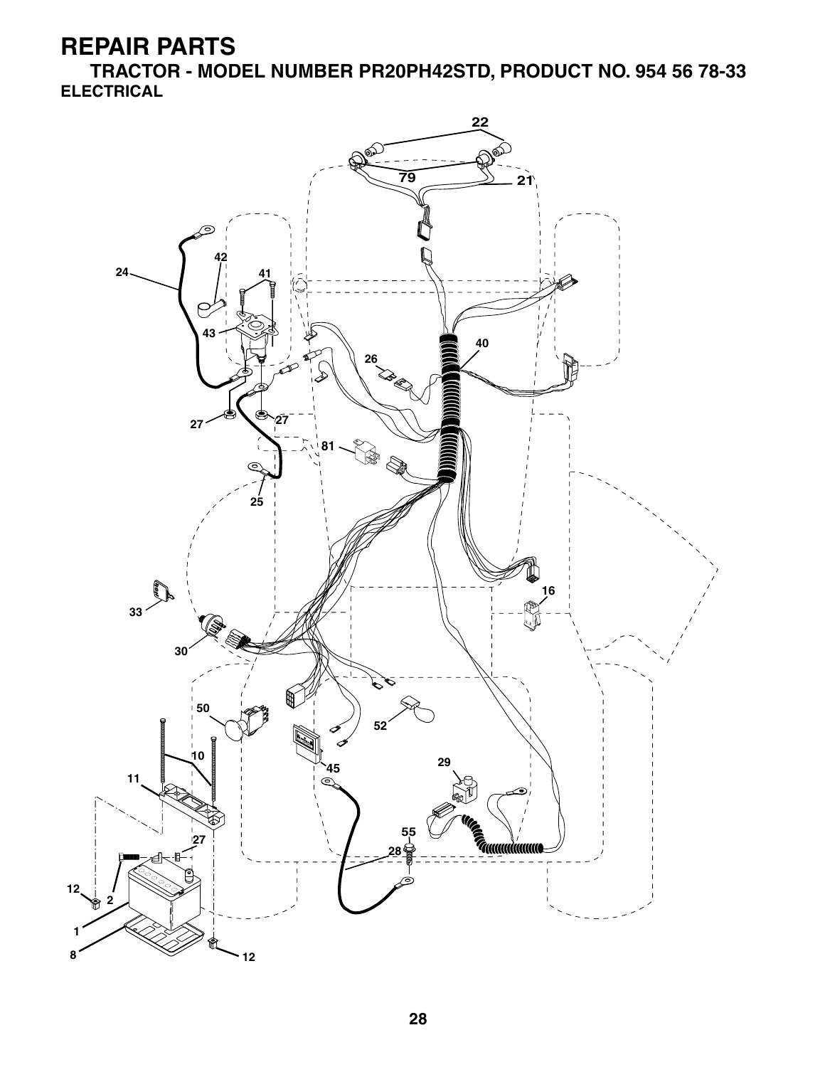**TRACTOR - MODEL NUMBER PR20PH42STD, PRODUCT NO. 954 56 78-33 ELECTRICAL**

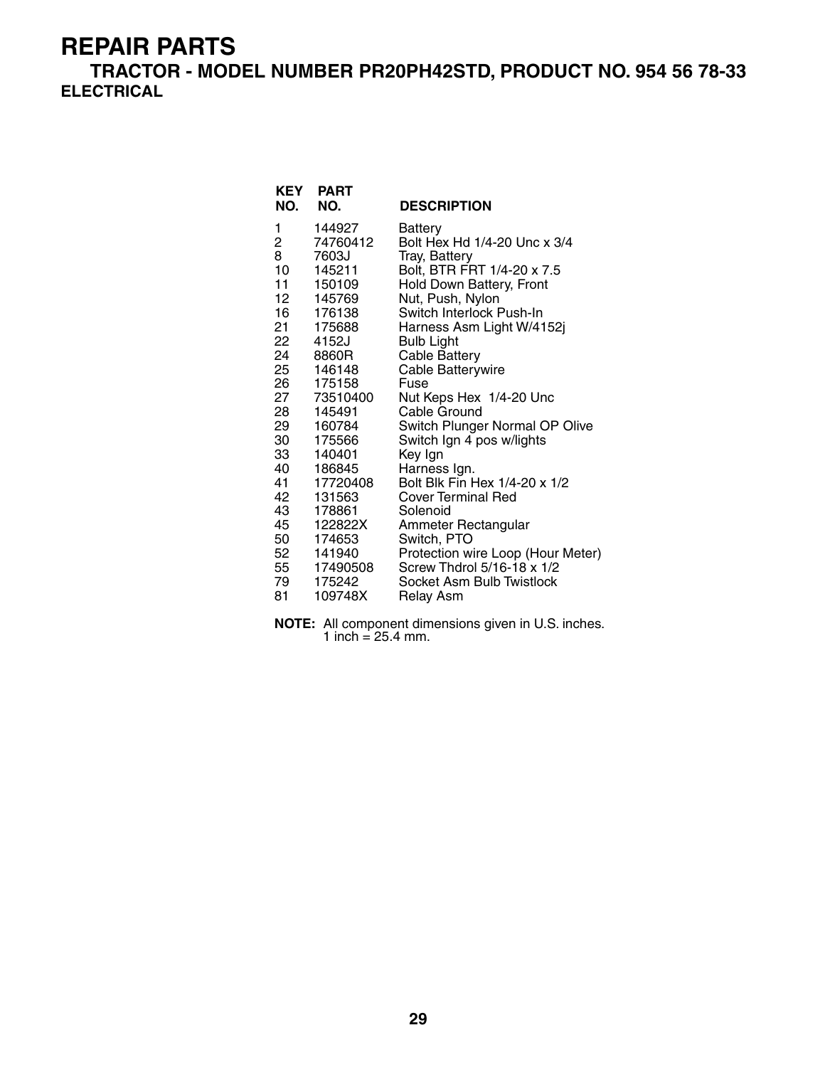**TRACTOR - MODEL NUMBER PR20PH42STD, PRODUCT NO. 954 56 78-33 ELECTRICAL**

| <b>KEY</b><br>NO. | <b>PART</b><br>NO. | <b>DESCRIPTION</b>                |
|-------------------|--------------------|-----------------------------------|
| 1                 | 144927             | <b>Battery</b>                    |
| $\overline{2}$    | 74760412           | Bolt Hex Hd 1/4-20 Unc x 3/4      |
| 8                 | 7603J              | Tray, Battery                     |
| 10                | 145211             | Bolt, BTR FRT 1/4-20 x 7.5        |
| 11                | 150109             | Hold Down Battery, Front          |
| 12                | 145769             | Nut, Push, Nylon                  |
| 16                | 176138             | Switch Interlock Push-In          |
| 21                | 175688             | Harness Asm Light W/4152j         |
| 22                | 4152J              | <b>Bulb Light</b>                 |
| 24<br>25          | 8860R<br>146148    | <b>Cable Battery</b>              |
| 26 —              | 175158             | Cable Batterywire<br>Fuse         |
| 27                | 73510400           | Nut Keps Hex 1/4-20 Unc           |
| 28                | 145491             | Cable Ground                      |
| 29                | 160784             | Switch Plunger Normal OP Olive    |
| 30                | 175566             | Switch Ign 4 pos w/lights         |
| 33                | 140401             | Key Ign                           |
| 40                | 186845             | Harness Ign.                      |
| 41                | 17720408           | Bolt Blk Fin Hex 1/4-20 x 1/2     |
| 42                | 131563             | <b>Cover Terminal Red</b>         |
| 43                | 178861             | Solenoid                          |
| 45                | 122822X            | Ammeter Rectangular               |
| 50                | 174653             | Switch, PTO                       |
| 52                | 141940             | Protection wire Loop (Hour Meter) |
|                   | 55 17490508        | Screw Thdrol 5/16-18 x 1/2        |
| 79                | 175242             | Socket Asm Bulb Twistlock         |
| 81                | 109748X            | Relay Asm                         |

**NOTE:** All component dimensions given in U.S. inches. 1 inch =  $25.4$  mm.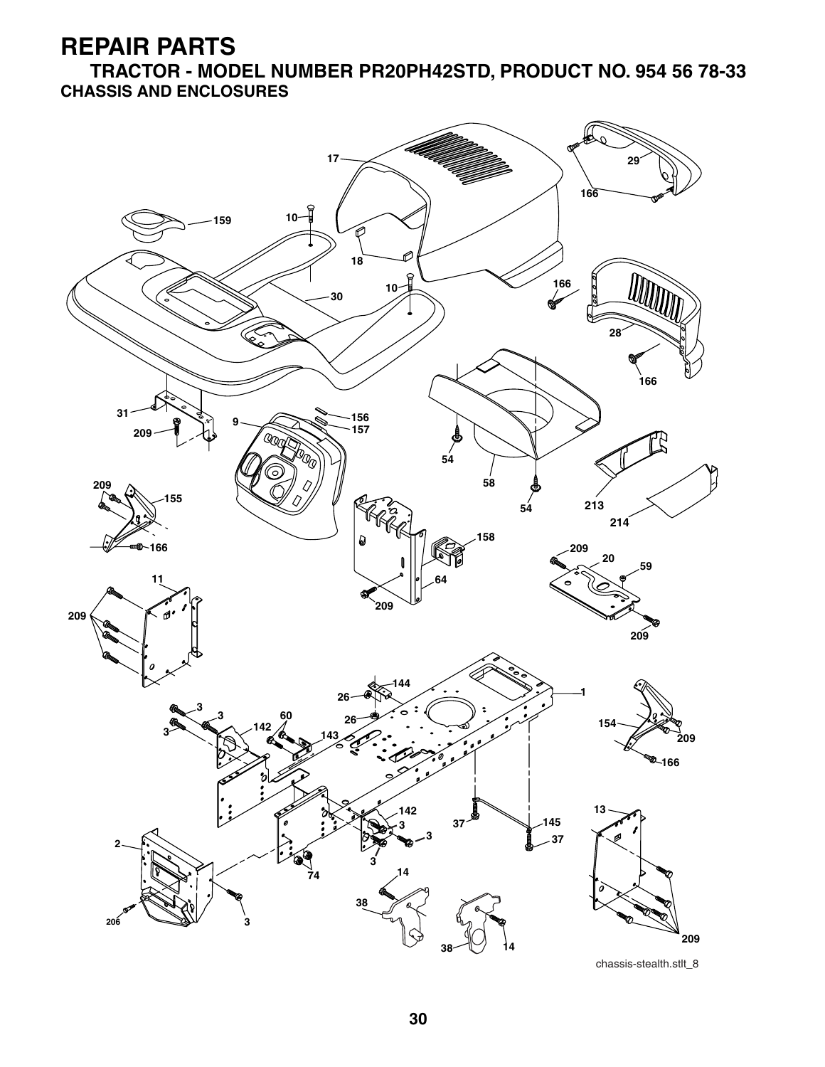**TRACTOR - MODEL NUMBER PR20PH42STD, PRODUCT NO. 954 56 78-33 CHASSIS AND ENCLOSURES**



chassis-stealth.stlt\_8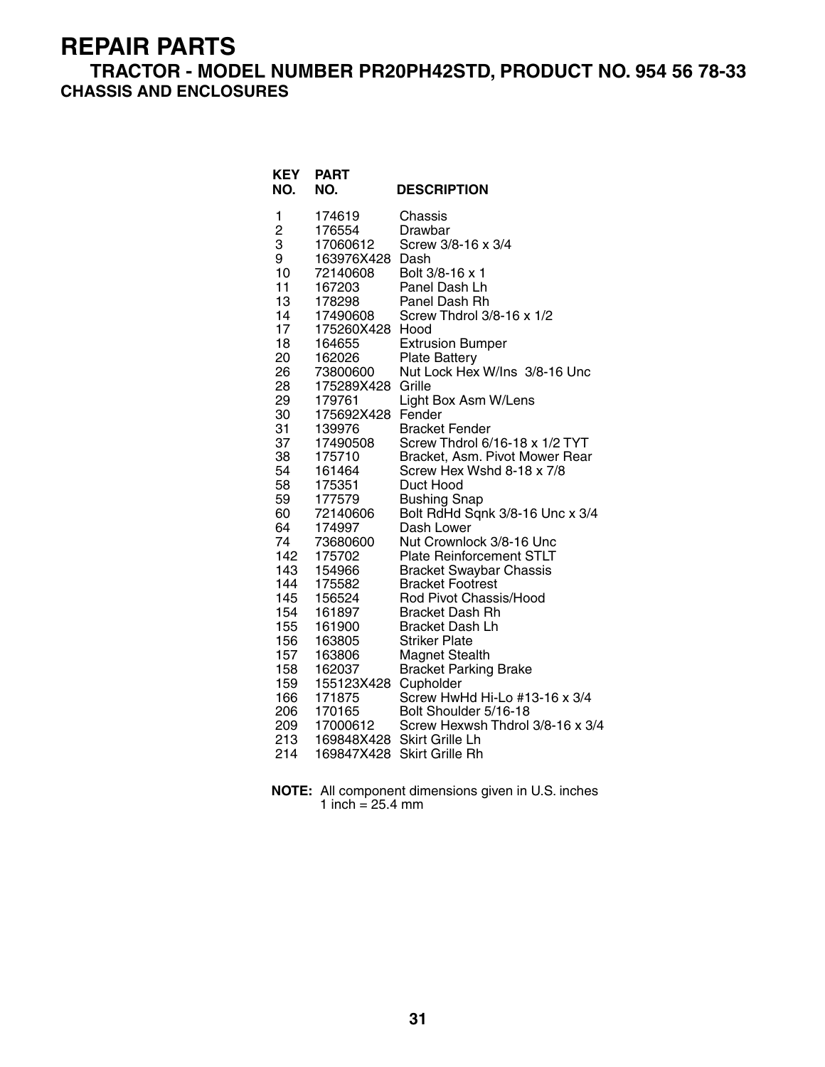#### **TRACTOR - MODEL NUMBER PR20PH42STD, PRODUCT NO. 954 56 78-33 CHASSIS AND ENCLOSURES**

| <b>KEY</b><br>NO.                                                                                                                                                                                                                                                     | <b>PART</b><br>NO.                                                                                                                                                                                                                                                                                                                                                                                                                                  | <b>DESCRIPTION</b>                                                                                                                                                                                                                                                                                                                                                                                                                                                                                                                                                                                                                                                                                                                                                                                                                                                                                                            |
|-----------------------------------------------------------------------------------------------------------------------------------------------------------------------------------------------------------------------------------------------------------------------|-----------------------------------------------------------------------------------------------------------------------------------------------------------------------------------------------------------------------------------------------------------------------------------------------------------------------------------------------------------------------------------------------------------------------------------------------------|-------------------------------------------------------------------------------------------------------------------------------------------------------------------------------------------------------------------------------------------------------------------------------------------------------------------------------------------------------------------------------------------------------------------------------------------------------------------------------------------------------------------------------------------------------------------------------------------------------------------------------------------------------------------------------------------------------------------------------------------------------------------------------------------------------------------------------------------------------------------------------------------------------------------------------|
| 1<br>$\overline{c}$<br>3<br>9<br>10<br>11<br>13<br>14<br>17<br>18<br>20<br>26<br>28<br>29<br>30<br>31<br>37<br>38<br>54<br>58<br>59<br>60<br>64<br>74<br>142<br>143<br>144<br>145<br>154<br>155<br>156<br>157<br>158<br>159<br>166<br>206<br>206<br>209<br>213<br>214 | 174619<br>176554<br>17060612<br>163976X428<br>72140608<br>167203<br>178298<br>17490608<br>175260X428 Hood<br>164655<br>162026<br>73800600<br>175289X428<br>179761<br>175692X428<br>139976<br>17490508<br>175710<br>161464<br>175351<br>177579<br>72140606<br>174997<br>73680600<br>175702<br>154966<br>175582<br>156524<br>161897<br>161900<br>163805<br>163806<br>162037<br>155123X428<br>171875<br>170165<br>17000612<br>169848X428<br>169847X428 | Chassis<br>Drawbar<br>Screw 3/8-16 x 3/4<br>Dash<br>Bolt 3/8-16 x 1<br>Panel Dash Lh<br>Panel Dash Rh<br>Screw Thdrol 3/8-16 x 1/2<br><b>Extrusion Bumper</b><br><b>Plate Battery</b><br>Nut Lock Hex W/Ins 3/8-16 Unc<br>Grille<br>Light Box Asm W/Lens<br>Fender<br><b>Bracket Fender</b><br>Screw Thdrol 6/16-18 x 1/2 TYT<br>Bracket, Asm. Pivot Mower Rear<br>Screw Hex Wshd 8-18 x 7/8<br>Duct Hood<br><b>Bushing Snap</b><br>Bolt RdHd Sqnk 3/8-16 Unc x 3/4<br>Dash Lower<br>Nut Crownlock 3/8-16 Unc<br><b>Plate Reinforcement STLT</b><br><b>Bracket Swaybar Chassis</b><br><b>Bracket Footrest</b><br>Rod Pivot Chassis/Hood<br><b>Bracket Dash Rh</b><br><b>Bracket Dash Lh</b><br><b>Striker Plate</b><br>Magnet Stealth<br><b>Bracket Parking Brake</b><br>Cupholder<br>Screw HwHd Hi-Lo #13-16 x 3/4<br>Bolt Shoulder 5/16-18<br>Screw Hexwsh Thdrol 3/8-16 x 3/4<br>Skirt Grille Lh<br><b>Skirt Grille Rh</b> |

| <b>NOTE:</b> All component dimensions given in U.S. inches |
|------------------------------------------------------------|
| 1 inch = $25.4 \text{ mm}$                                 |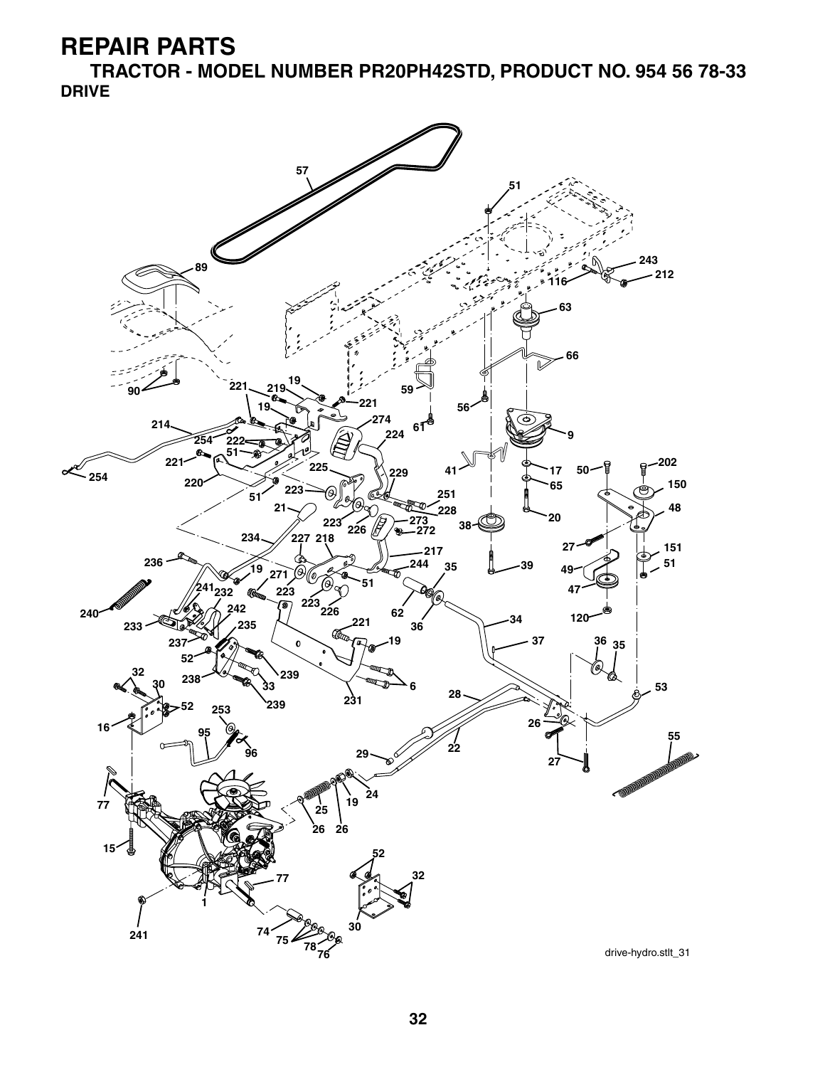**TRACTOR - MODEL NUMBER PR20PH42STD, PRODUCT NO. 954 56 78-33 DRIVE**

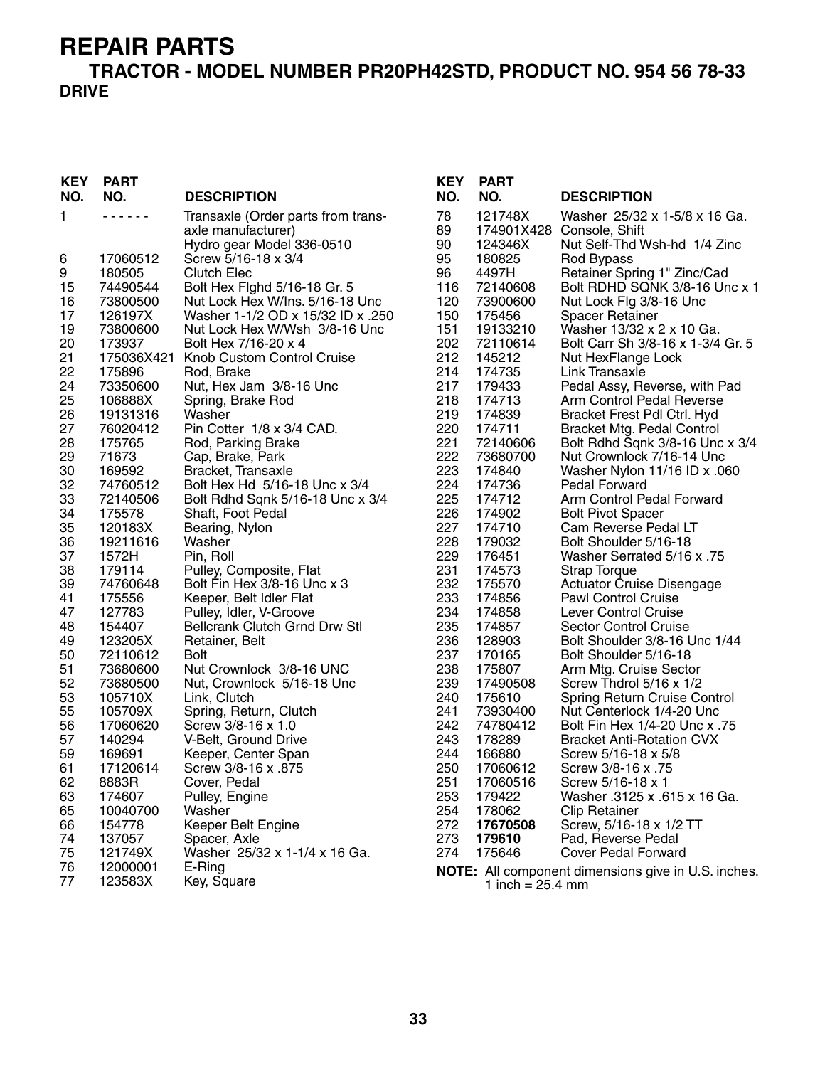#### **TRACTOR - MODEL NUMBER PR20PH42STD, PRODUCT NO. 954 56 78-33 DRIVE**

| <b>KEY</b><br>NO.                                                                                                                                                                                                                          | <b>PART</b><br>NO.                                                                                                                                                                                                                                                                                                                                                                                                                                    | <b>DESCRIPTION</b>                                                                                                                                                                                                                                                                                                                                                                                                                                                                                                                                                                                                                                                                                                                                                                                                                                                                                                                                                                                                 | <b>KEY</b><br>NO.                                                                                                                                                                                                                                                                        |                                                                                                                                                                                                                                                                                                                                                                                                                                                                                                                                                             |
|--------------------------------------------------------------------------------------------------------------------------------------------------------------------------------------------------------------------------------------------|-------------------------------------------------------------------------------------------------------------------------------------------------------------------------------------------------------------------------------------------------------------------------------------------------------------------------------------------------------------------------------------------------------------------------------------------------------|--------------------------------------------------------------------------------------------------------------------------------------------------------------------------------------------------------------------------------------------------------------------------------------------------------------------------------------------------------------------------------------------------------------------------------------------------------------------------------------------------------------------------------------------------------------------------------------------------------------------------------------------------------------------------------------------------------------------------------------------------------------------------------------------------------------------------------------------------------------------------------------------------------------------------------------------------------------------------------------------------------------------|------------------------------------------------------------------------------------------------------------------------------------------------------------------------------------------------------------------------------------------------------------------------------------------|-------------------------------------------------------------------------------------------------------------------------------------------------------------------------------------------------------------------------------------------------------------------------------------------------------------------------------------------------------------------------------------------------------------------------------------------------------------------------------------------------------------------------------------------------------------|
| 1                                                                                                                                                                                                                                          |                                                                                                                                                                                                                                                                                                                                                                                                                                                       | Transaxle (Order parts from trans-<br>axle manufacturer)                                                                                                                                                                                                                                                                                                                                                                                                                                                                                                                                                                                                                                                                                                                                                                                                                                                                                                                                                           | 78<br>89                                                                                                                                                                                                                                                                                 | 1<br>1                                                                                                                                                                                                                                                                                                                                                                                                                                                                                                                                                      |
| 6<br>9<br>15<br>16<br>17<br>19<br>20<br>21<br>22<br>24<br>25<br>26<br>27<br>28<br>29<br>30<br>32<br>33<br>34<br>35<br>36<br>37<br>38<br>39<br>41<br>47<br>48<br>49<br>50<br>51<br>52<br>53<br>55<br>56<br>57<br>59<br>61<br>62<br>63<br>65 | 17060512<br>180505<br>74490544<br>73800500<br>126197X<br>73800600<br>173937<br>175036X421<br>175896<br>73350600<br>106888X<br>19131316<br>76020412<br>175765<br>71673<br>169592<br>74760512<br>72140506<br>175578<br>120183X<br>19211616<br>1572H<br>179114<br>74760648<br>175556<br>127783<br>154407<br>123205X<br>72110612<br>73680600<br>73680500<br>105710X<br>105709X<br>17060620<br>140294<br>169691<br>17120614<br>8883R<br>174607<br>10040700 | Hydro gear Model 336-0510<br>Screw 5/16-18 x 3/4<br><b>Clutch Elec</b><br>Bolt Hex Fighd 5/16-18 Gr. 5<br>Nut Lock Hex W/Ins. 5/16-18 Unc<br>Washer 1-1/2 OD x 15/32 ID x .250<br>Nut Lock Hex W/Wsh 3/8-16 Unc<br>Bolt Hex 7/16-20 x 4<br>Knob Custom Control Cruise<br>Rod, Brake<br>Nut, Hex Jam 3/8-16 Unc<br>Spring, Brake Rod<br>Washer<br>Pin Cotter 1/8 x 3/4 CAD.<br>Rod, Parking Brake<br>Cap, Brake, Park<br>Bracket, Transaxle<br>Bolt Hex Hd 5/16-18 Unc x 3/4<br>Bolt Rdhd Sqnk 5/16-18 Unc x 3/4<br>Shaft, Foot Pedal<br>Bearing, Nylon<br>Washer<br>Pin, Roll<br>Pulley, Composite, Flat<br>Bolt Fin Hex 3/8-16 Unc x 3<br>Keeper, Belt Idler Flat<br>Pulley, Idler, V-Groove<br><b>Bellcrank Clutch Grnd Drw Stl</b><br>Retainer, Belt<br><b>Bolt</b><br>Nut Crownlock 3/8-16 UNC<br>Nut, Crownlock 5/16-18 Unc<br>Link, Clutch<br>Spring, Return, Clutch<br>Screw 3/8-16 x 1.0<br>V-Belt, Ground Drive<br>Keeper, Center Span<br>875. Screw 3/8-16 x<br>Cover, Pedal<br>Pulley, Engine<br>Washer | 90<br>95<br>96<br>116<br>120<br>150<br>151<br>202<br>212<br>214<br>217<br>218<br>219<br>220<br>221<br>222<br>223<br>224<br>225<br>226<br>227<br>228<br>229<br>231<br>232<br>233<br>234<br>235<br>236<br>237<br>238<br>239<br>240<br>241<br>242<br>243<br>244<br>250<br>251<br>253<br>254 | $\mathbf{1}$<br>$\mathbf 1$<br>$\overline{\mathcal{L}}$<br>7<br>7<br>$\mathbf{1}$<br>$\mathbf{1}$<br>7<br>1<br>$\mathbf{1}$<br>$\mathbf{1}$<br>$\mathbf{1}$<br>$\mathbf{1}$<br>$\mathbf{1}$<br>7<br>$\overline{I}$<br>$\mathbf{1}$<br>$\mathbf{1}$<br>$\mathbf{1}$<br>$\mathbf{1}$<br>$\mathbf{1}$<br>$\mathbf 1$<br>$\mathbf{1}$<br>$\mathbf{1}$<br>$\mathbf{1}$<br>$\mathbf{1}$<br>$\mathbf{1}$<br>$\mathbf{1}$<br>$\mathbf{1}$<br>$\mathbf{1}$<br>$\mathbf{1}$<br>$\mathbf{1}$<br>$\mathbf{1}$<br>$\frac{7}{7}$<br>$\mathbf{1}$<br>1<br>1<br>1<br>1<br>1 |
| 66<br>74<br>75                                                                                                                                                                                                                             | 154778<br>137057<br>121749X                                                                                                                                                                                                                                                                                                                                                                                                                           | Keeper Belt Engine<br>Spacer, Axle<br>Washer 25/32 x 1-1/4 x 16 Ga.                                                                                                                                                                                                                                                                                                                                                                                                                                                                                                                                                                                                                                                                                                                                                                                                                                                                                                                                                | 272<br>273<br>274                                                                                                                                                                                                                                                                        | 1                                                                                                                                                                                                                                                                                                                                                                                                                                                                                                                                                           |
| 76<br>77                                                                                                                                                                                                                                   | 12000001<br>123583X                                                                                                                                                                                                                                                                                                                                                                                                                                   | E-Ring<br>Key, Square                                                                                                                                                                                                                                                                                                                                                                                                                                                                                                                                                                                                                                                                                                                                                                                                                                                                                                                                                                                              | <b>NOTE:</b>                                                                                                                                                                                                                                                                             |                                                                                                                                                                                                                                                                                                                                                                                                                                                                                                                                                             |

| KEY        | <b>PART</b>        |                                                            |
|------------|--------------------|------------------------------------------------------------|
| NO.        | NO.                | <b>DESCRIPTION</b>                                         |
| 78         | 121748X            | Washer 25/32 x 1-5/8 x 16 Ga.                              |
| 89         | 174901X428         | Console, Shift                                             |
| 90         | 124346X            | Nut Self-Thd Wsh-hd 1/4 Zinc                               |
| 95         | 180825             | Rod Bypass                                                 |
| 96         | 4497H              | Retainer Spring 1" Zinc/Cad                                |
| 116        | 72140608           | Bolt RDHD SQNK 3/8-16 Unc x 1                              |
| 120        | 73900600           | Nut Lock Flg 3/8-16 Unc                                    |
| 150        | 175456             | <b>Spacer Retainer</b>                                     |
| 151        | 19133210           | Washer 13/32 x 2 x 10 Ga.                                  |
| 202        | 72110614           | Bolt Carr Sh 3/8-16 x 1-3/4 Gr. 5                          |
| 212        | 145212             | Nut HexFlange Lock                                         |
| 214<br>217 | 174735             | Link Transaxle                                             |
| 218        | 179433<br>174713   | Pedal Assy, Reverse, with Pad<br>Arm Control Pedal Reverse |
| 219        | 174839             | Bracket Frest Pdl Ctrl. Hyd                                |
| 220        | 174711             | <b>Bracket Mtg. Pedal Control</b>                          |
| 221        | 72140606           | Bolt Rdhd Sqnk 3/8-16 Unc x 3/4                            |
| 222        | 73680700           | Nut Crownlock 7/16-14 Unc                                  |
| 223        | 174840             | Washer Nylon 11/16 ID x .060                               |
| 224        | 174736             | Pedal Forward                                              |
| 225        | 174712             | Arm Control Pedal Forward                                  |
| 226        | 174902             | <b>Bolt Pivot Spacer</b>                                   |
| 227        | 174710             | Cam Reverse Pedal LT                                       |
| 228        | 179032             | Bolt Shoulder 5/16-18                                      |
| 229        | 176451             | 75. Washer Serrated 5/16 x                                 |
| 231        | 174573             | <b>Strap Torque</b>                                        |
| 232        | 175570             | <b>Actuator Cruise Disengage</b>                           |
| 233        | 174856             | <b>Pawl Control Cruise</b>                                 |
| 234        | 174858             | Lever Control Cruise                                       |
| 235        | 174857             | Sector Control Cruise                                      |
| 236        | 128903             | Bolt Shoulder 3/8-16 Unc 1/44                              |
| 237        | 170165             | Bolt Shoulder 5/16-18                                      |
| 238        | 175807             | Arm Mtg. Cruise Sector                                     |
| 239<br>240 | 17490508<br>175610 | Screw Thdrol 5/16 x 1/2<br>Spring Return Cruise Control    |
| 241        | 73930400           | Nut Centerlock 1/4-20 Unc                                  |
| 242        | 74780412           | 57. Bolt Fin Hex 1/4-20 Unc x                              |
| 243        | 178289             | <b>Bracket Anti-Rotation CVX</b>                           |
| 244        | 166880             | Screw 5/16-18 x 5/8                                        |
| 250        | 17060612           | Screw 3/8-16 x .75                                         |
| 251        | 17060516           | Screw 5/16-18 x 1                                          |
| 253        | 179422             | Washer .3125 x .615 x 16 Ga.                               |
| 254        | 178062             | <b>Clip Retainer</b>                                       |
| 272        | 17670508           | Screw, 5/16-18 x 1/2 TT                                    |
| 273        | 179610             | Pad, Reverse Pedal                                         |
| 274        | 175646             | Cover Pedal Forward                                        |
|            |                    |                                                            |

**NOTE:** All component dimensions give in U.S. inches. 1 inch  $= 25.4$  mm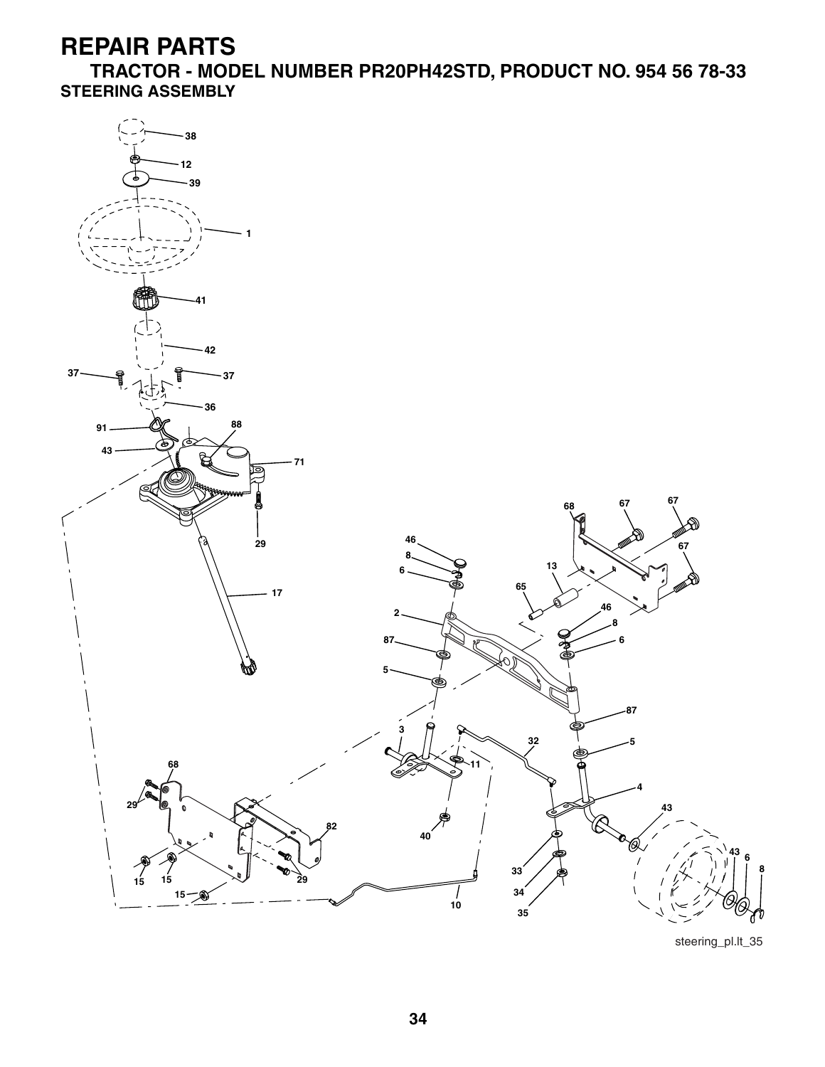**TRACTOR - MODEL NUMBER PR20PH42STD, PRODUCT NO. 954 56 78-33 STEERING ASSEMBLY**



steering\_pl.lt\_35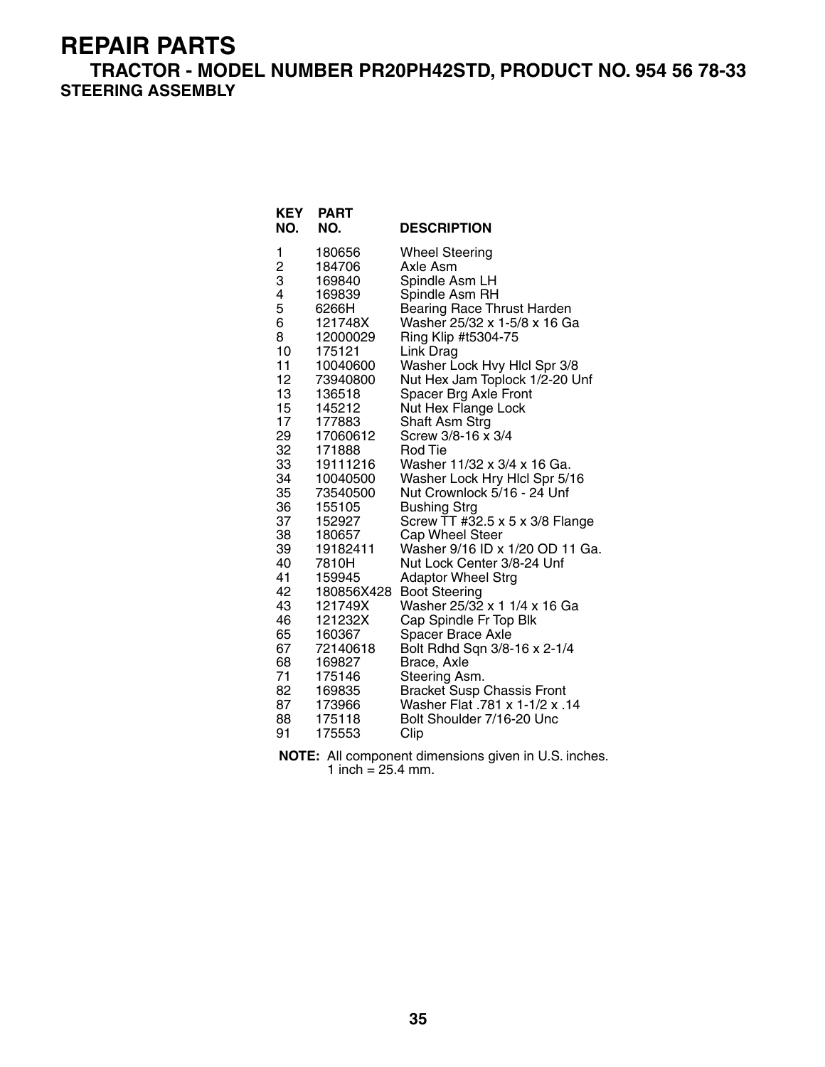**TRACTOR - MODEL NUMBER PR20PH42STD, PRODUCT NO. 954 56 78-33 STEERING ASSEMBLY**

**KEY PART** 

| 180656<br>1<br><b>Wheel Steering</b><br>$\frac{2}{3}$<br>184706<br>Axle Asm<br>169840<br>Spindle Asm LH<br>4<br>169839<br>Spindle Asm RH<br>5<br>6266H<br>Bearing Race Thrust Harden<br>6<br>Washer 25/32 x 1-5/8 x 16 Ga<br>121748X<br>8<br>Ring Klip #t5304-75<br>12000029<br>10<br>175121<br>Link Drag<br>11<br>Washer Lock Hvy Hlcl Spr 3/8<br>10040600<br>12 <sub>2</sub><br>73940800<br>Nut Hex Jam Toplock 1/2-20 Unf<br>13<br>Spacer Brg Axle Front<br>136518<br>15<br>145212<br>Nut Hex Flange Lock<br>17<br>Shaft Asm Strg<br>177883<br>29<br>Screw 3/8-16 x 3/4<br>17060612<br>32<br>171888<br>Rod Tie<br>33<br>Washer 11/32 x 3/4 x 16 Ga.<br>19111216<br>34<br>Washer Lock Hry Hlcl Spr 5/16<br>10040500<br>35<br>Nut Crownlock 5/16 - 24 Unf<br>73540500<br>36<br><b>Bushing Strg</b><br>155105<br>37<br>Screw TT #32.5 x 5 x 3/8 Flange<br>152927<br>38<br>Cap Wheel Steer<br>180657<br>39<br>Washer 9/16 ID x 1/20 OD 11 Ga.<br>19182411<br>40<br>Nut Lock Center 3/8-24 Unf<br>7810H<br>41<br>159945<br><b>Adaptor Wheel Strg</b><br>42<br><b>Boot Steering</b><br>180856X428<br>43<br>Washer 25/32 x 1 1/4 x 16 Ga<br>121749X<br>46<br>Cap Spindle Fr Top Blk<br>121232X<br>65<br>160367<br><b>Spacer Brace Axle</b> | NL I<br>NO. | гапі<br>NO. | <b>DESCRIPTION</b> |
|----------------------------------------------------------------------------------------------------------------------------------------------------------------------------------------------------------------------------------------------------------------------------------------------------------------------------------------------------------------------------------------------------------------------------------------------------------------------------------------------------------------------------------------------------------------------------------------------------------------------------------------------------------------------------------------------------------------------------------------------------------------------------------------------------------------------------------------------------------------------------------------------------------------------------------------------------------------------------------------------------------------------------------------------------------------------------------------------------------------------------------------------------------------------------------------------------------------------------------------|-------------|-------------|--------------------|
|                                                                                                                                                                                                                                                                                                                                                                                                                                                                                                                                                                                                                                                                                                                                                                                                                                                                                                                                                                                                                                                                                                                                                                                                                                        |             |             |                    |
|                                                                                                                                                                                                                                                                                                                                                                                                                                                                                                                                                                                                                                                                                                                                                                                                                                                                                                                                                                                                                                                                                                                                                                                                                                        |             |             |                    |
|                                                                                                                                                                                                                                                                                                                                                                                                                                                                                                                                                                                                                                                                                                                                                                                                                                                                                                                                                                                                                                                                                                                                                                                                                                        |             |             |                    |
|                                                                                                                                                                                                                                                                                                                                                                                                                                                                                                                                                                                                                                                                                                                                                                                                                                                                                                                                                                                                                                                                                                                                                                                                                                        |             |             |                    |
|                                                                                                                                                                                                                                                                                                                                                                                                                                                                                                                                                                                                                                                                                                                                                                                                                                                                                                                                                                                                                                                                                                                                                                                                                                        |             |             |                    |
|                                                                                                                                                                                                                                                                                                                                                                                                                                                                                                                                                                                                                                                                                                                                                                                                                                                                                                                                                                                                                                                                                                                                                                                                                                        |             |             |                    |
|                                                                                                                                                                                                                                                                                                                                                                                                                                                                                                                                                                                                                                                                                                                                                                                                                                                                                                                                                                                                                                                                                                                                                                                                                                        |             |             |                    |
|                                                                                                                                                                                                                                                                                                                                                                                                                                                                                                                                                                                                                                                                                                                                                                                                                                                                                                                                                                                                                                                                                                                                                                                                                                        |             |             |                    |
|                                                                                                                                                                                                                                                                                                                                                                                                                                                                                                                                                                                                                                                                                                                                                                                                                                                                                                                                                                                                                                                                                                                                                                                                                                        |             |             |                    |
|                                                                                                                                                                                                                                                                                                                                                                                                                                                                                                                                                                                                                                                                                                                                                                                                                                                                                                                                                                                                                                                                                                                                                                                                                                        |             |             |                    |
|                                                                                                                                                                                                                                                                                                                                                                                                                                                                                                                                                                                                                                                                                                                                                                                                                                                                                                                                                                                                                                                                                                                                                                                                                                        |             |             |                    |
|                                                                                                                                                                                                                                                                                                                                                                                                                                                                                                                                                                                                                                                                                                                                                                                                                                                                                                                                                                                                                                                                                                                                                                                                                                        |             |             |                    |
|                                                                                                                                                                                                                                                                                                                                                                                                                                                                                                                                                                                                                                                                                                                                                                                                                                                                                                                                                                                                                                                                                                                                                                                                                                        |             |             |                    |
|                                                                                                                                                                                                                                                                                                                                                                                                                                                                                                                                                                                                                                                                                                                                                                                                                                                                                                                                                                                                                                                                                                                                                                                                                                        |             |             |                    |
|                                                                                                                                                                                                                                                                                                                                                                                                                                                                                                                                                                                                                                                                                                                                                                                                                                                                                                                                                                                                                                                                                                                                                                                                                                        |             |             |                    |
|                                                                                                                                                                                                                                                                                                                                                                                                                                                                                                                                                                                                                                                                                                                                                                                                                                                                                                                                                                                                                                                                                                                                                                                                                                        |             |             |                    |
|                                                                                                                                                                                                                                                                                                                                                                                                                                                                                                                                                                                                                                                                                                                                                                                                                                                                                                                                                                                                                                                                                                                                                                                                                                        |             |             |                    |
|                                                                                                                                                                                                                                                                                                                                                                                                                                                                                                                                                                                                                                                                                                                                                                                                                                                                                                                                                                                                                                                                                                                                                                                                                                        |             |             |                    |
|                                                                                                                                                                                                                                                                                                                                                                                                                                                                                                                                                                                                                                                                                                                                                                                                                                                                                                                                                                                                                                                                                                                                                                                                                                        |             |             |                    |
|                                                                                                                                                                                                                                                                                                                                                                                                                                                                                                                                                                                                                                                                                                                                                                                                                                                                                                                                                                                                                                                                                                                                                                                                                                        |             |             |                    |
|                                                                                                                                                                                                                                                                                                                                                                                                                                                                                                                                                                                                                                                                                                                                                                                                                                                                                                                                                                                                                                                                                                                                                                                                                                        |             |             |                    |
|                                                                                                                                                                                                                                                                                                                                                                                                                                                                                                                                                                                                                                                                                                                                                                                                                                                                                                                                                                                                                                                                                                                                                                                                                                        |             |             |                    |
|                                                                                                                                                                                                                                                                                                                                                                                                                                                                                                                                                                                                                                                                                                                                                                                                                                                                                                                                                                                                                                                                                                                                                                                                                                        |             |             |                    |
|                                                                                                                                                                                                                                                                                                                                                                                                                                                                                                                                                                                                                                                                                                                                                                                                                                                                                                                                                                                                                                                                                                                                                                                                                                        |             |             |                    |
|                                                                                                                                                                                                                                                                                                                                                                                                                                                                                                                                                                                                                                                                                                                                                                                                                                                                                                                                                                                                                                                                                                                                                                                                                                        |             |             |                    |
|                                                                                                                                                                                                                                                                                                                                                                                                                                                                                                                                                                                                                                                                                                                                                                                                                                                                                                                                                                                                                                                                                                                                                                                                                                        |             |             |                    |
|                                                                                                                                                                                                                                                                                                                                                                                                                                                                                                                                                                                                                                                                                                                                                                                                                                                                                                                                                                                                                                                                                                                                                                                                                                        |             |             |                    |
| 67<br>Bolt Rdhd Sqn 3/8-16 x 2-1/4<br>72140618<br>68<br>169827                                                                                                                                                                                                                                                                                                                                                                                                                                                                                                                                                                                                                                                                                                                                                                                                                                                                                                                                                                                                                                                                                                                                                                         |             |             |                    |
| Brace, Axle<br>71<br>175146                                                                                                                                                                                                                                                                                                                                                                                                                                                                                                                                                                                                                                                                                                                                                                                                                                                                                                                                                                                                                                                                                                                                                                                                            |             |             |                    |
| Steering Asm.<br>Bracket Susp Chassis Front<br>82<br>169835                                                                                                                                                                                                                                                                                                                                                                                                                                                                                                                                                                                                                                                                                                                                                                                                                                                                                                                                                                                                                                                                                                                                                                            |             |             |                    |
| Washer Flat .781 x 1-1/2 x .14<br>87<br>173966                                                                                                                                                                                                                                                                                                                                                                                                                                                                                                                                                                                                                                                                                                                                                                                                                                                                                                                                                                                                                                                                                                                                                                                         |             |             |                    |
| 88<br>175118<br>Bolt Shoulder 7/16-20 Unc                                                                                                                                                                                                                                                                                                                                                                                                                                                                                                                                                                                                                                                                                                                                                                                                                                                                                                                                                                                                                                                                                                                                                                                              |             |             |                    |
| 175553<br>91<br>Clip                                                                                                                                                                                                                                                                                                                                                                                                                                                                                                                                                                                                                                                                                                                                                                                                                                                                                                                                                                                                                                                                                                                                                                                                                   |             |             |                    |

**NOTE:** All component dimensions given in U.S. inches. 1 inch =  $25.4$  mm.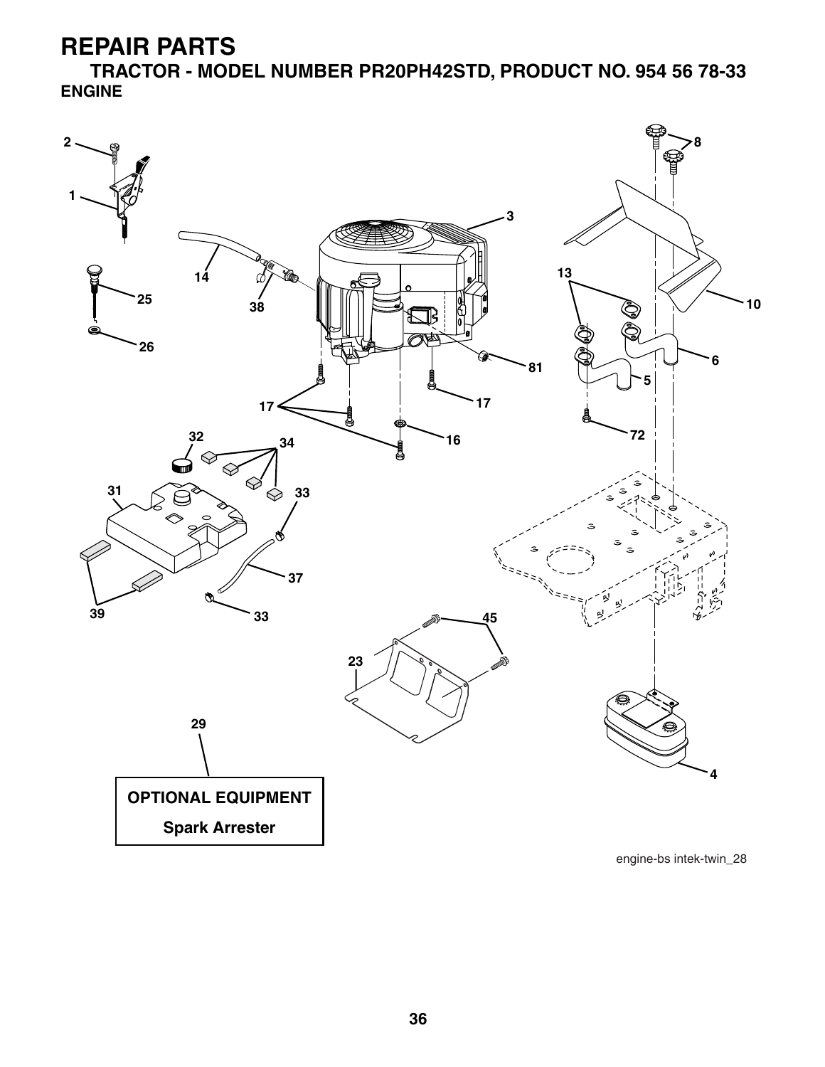**TRACTOR - MODEL NUMBER PR20PH42STD, PRODUCT NO. 954 56 78-33 ENGINE**

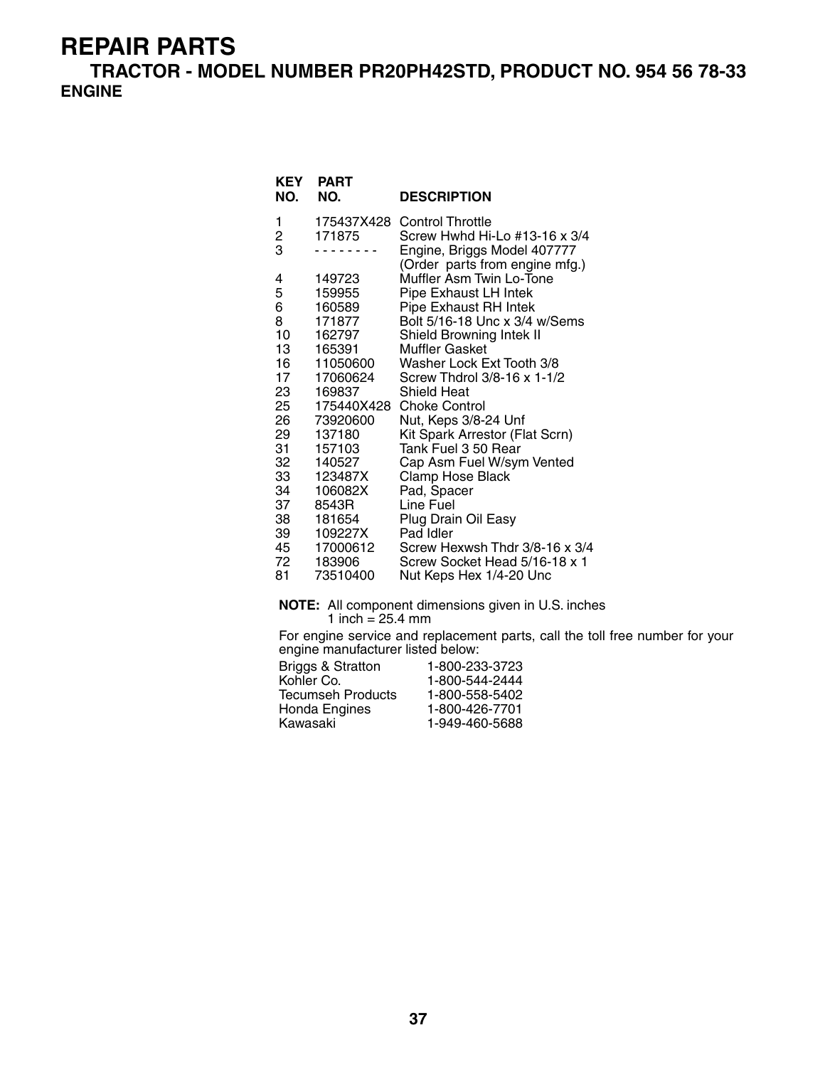**TRACTOR - MODEL NUMBER PR20PH42STD, PRODUCT NO. 954 56 78-33 ENGINE**

| <b>KEY</b><br>NO. | <b>PART</b><br>NO. | <b>DESCRIPTION</b>                                           |
|-------------------|--------------------|--------------------------------------------------------------|
| 1                 | 175437X428         | <b>Control Throttle</b>                                      |
| $\frac{2}{3}$     | 171875             | Screw Hwhd Hi-Lo #13-16 x 3/4<br>Engine, Briggs Model 407777 |
|                   |                    | (Order parts from engine mfg.)                               |
| 4                 | 149723             | Muffler Asm Twin Lo-Tone                                     |
| 5                 | 159955             | Pipe Exhaust LH Intek                                        |
| 6                 | 160589             | <b>Pipe Exhaust RH Intek</b>                                 |
| 8                 | 171877             | Bolt 5/16-18 Unc x 3/4 w/Sems                                |
| 10                | 162797             | Shield Browning Intek II                                     |
| 13                | 165391             | <b>Muffler Gasket</b>                                        |
| 16                | 11050600           | Washer Lock Ext Tooth 3/8                                    |
| 17                | 17060624           | Screw Thdrol 3/8-16 x 1-1/2                                  |
| 23                | 169837             | Shield Heat                                                  |
| 25                | 175440X428         | <b>Choke Control</b>                                         |
| 26                | 73920600           | Nut, Keps 3/8-24 Unf                                         |
| 29<br>31          | 137180<br>157103   | Kit Spark Arrestor (Flat Scrn)<br>Tank Fuel 3 50 Rear        |
| 32                | 140527             | Cap Asm Fuel W/sym Vented                                    |
| 33                | 123487X            | Clamp Hose Black                                             |
| 34                | 106082X            | Pad, Spacer                                                  |
| 37                | 8543R              | Line Fuel                                                    |
| 38                | 181654             | Plug Drain Oil Easy                                          |
| 39                | 109227X            | Pad Idler                                                    |
| 45                | 17000612           | Screw Hexwsh Thdr 3/8-16 x 3/4                               |
| 72                | 183906             | Screw Socket Head 5/16-18 x 1                                |
|                   |                    |                                                              |

81 73510400 Nut Keps Hex 1/4-20 Unc

**NOTE:** All component dimensions given in U.S. inches 1 inch  $= 25.4$  mm

For engine service and replacement parts, call the toll free number for your engine manufacturer listed below:

| 1-800-233-3723 |
|----------------|
| 1-800-544-2444 |
| 1-800-558-5402 |
| 1-800-426-7701 |
| 1-949-460-5688 |
|                |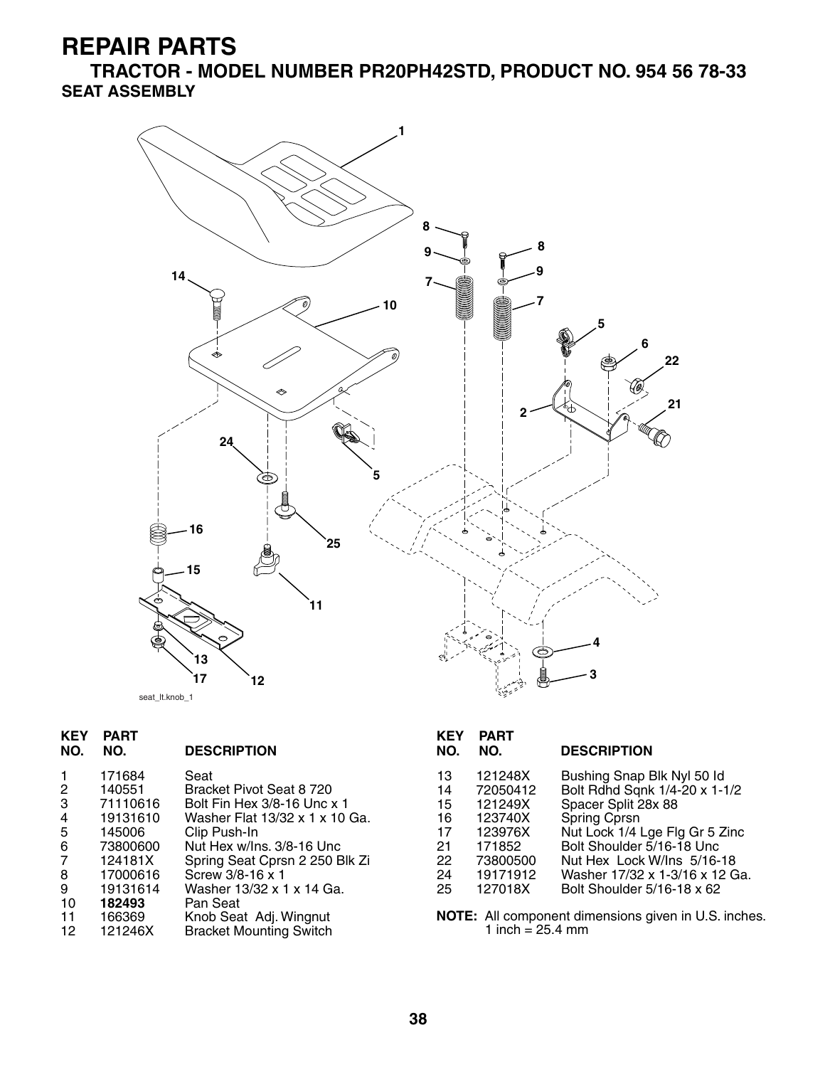**TRACTOR - MODEL NUMBER PR20PH42STD, PRODUCT NO. 954 56 78-33 SEAT ASSEMBLY**



| <b>KEY</b><br>NO. | <b>PART</b><br>NO. | <b>DESCRIPTION</b>             | <b>KEY</b><br>NO. | <b>PART</b><br>NO. | <b>DESCRIPTION</b>                                   |
|-------------------|--------------------|--------------------------------|-------------------|--------------------|------------------------------------------------------|
|                   |                    |                                |                   |                    |                                                      |
|                   | 171684             | Seat                           | 13                | 121248X            | Bushing Snap Blk Nyl 50 ld                           |
| $\overline{2}$    | 140551             | Bracket Pivot Seat 8 720       | 14                | 72050412           | Bolt Rdhd Sqnk 1/4-20 x 1-1/2                        |
| 3                 | 71110616           | Bolt Fin Hex 3/8-16 Unc x 1    | 15                | 121249X            | Spacer Split 28x 88                                  |
| 4                 | 19131610           | Washer Flat 13/32 x 1 x 10 Ga. | 16                | 123740X            | Spring Cprsn                                         |
| 5                 | 145006             | Clip Push-In                   | 17                | 123976X            | Nut Lock 1/4 Lge Flg Gr 5 Zinc                       |
| 6                 | 73800600           | Nut Hex w/Ins. 3/8-16 Unc      | 21                | 171852             | Bolt Shoulder 5/16-18 Unc                            |
| 7                 | 124181X            | Spring Seat Cprsn 2 250 Blk Zi | 22                | 73800500           | Nut Hex Lock W/Ins 5/16-18                           |
| 8                 | 17000616           | Screw 3/8-16 x 1               | 24                | 19171912           | Washer 17/32 x 1-3/16 x 12 Ga.                       |
| 9                 | 19131614           | Washer 13/32 x 1 x 14 Ga.      | 25                | 127018X            | Bolt Shoulder 5/16-18 x 62                           |
| 10                | 182493             | Pan Seat                       |                   |                    |                                                      |
| 11                | 166369             | Knob Seat Adj. Wingnut         |                   |                    | NOTE: All component dimensions given in U.S. inches. |
|                   |                    |                                |                   | 4 L OF 4           |                                                      |

12 121246X Bracket Mounting Switch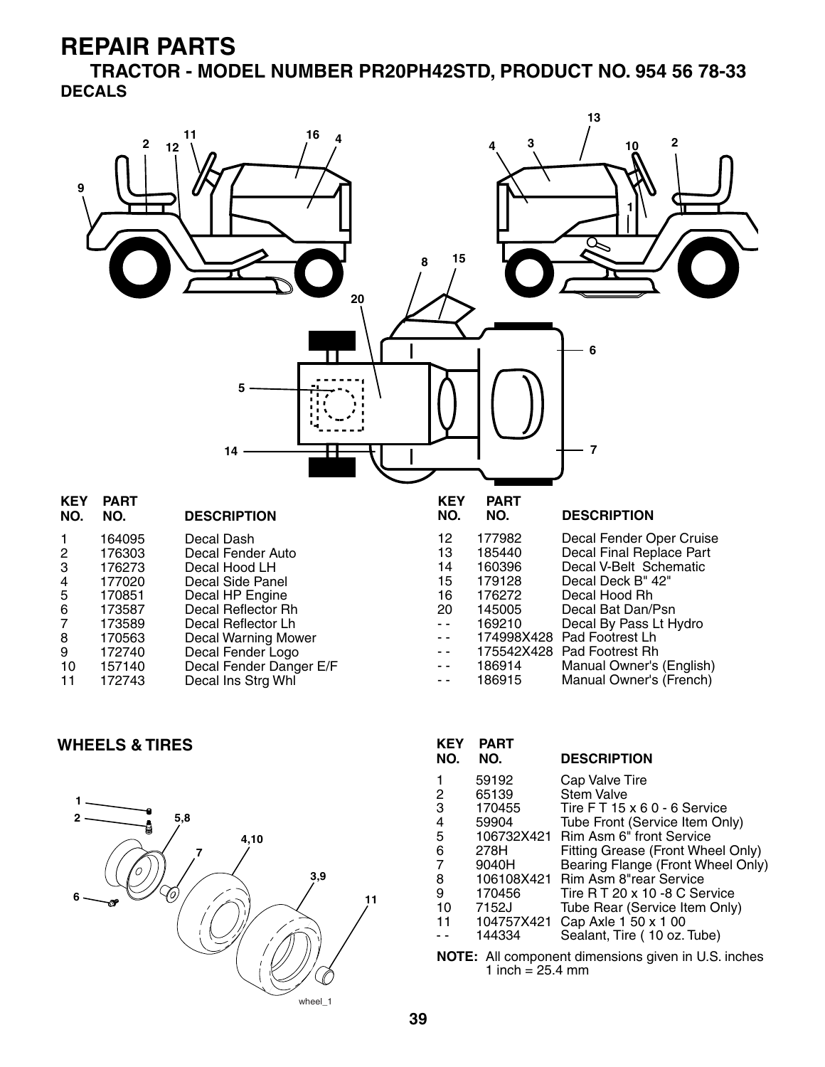**TRACTOR - MODEL NUMBER PR20PH42STD, PRODUCT NO. 954 56 78-33 DECALS**



#### **WHEELS & TIRES**



| <b>KEY</b><br>NO.                                          | <b>PART</b><br>NO. | <b>DESCRIPTION</b>                |  |
|------------------------------------------------------------|--------------------|-----------------------------------|--|
|                                                            | 59192              | Cap Valve Tire                    |  |
| 2                                                          | 65139              | <b>Stem Valve</b>                 |  |
| 3                                                          | 170455             | Tire FT 15 x 6 0 - 6 Service      |  |
| 4                                                          | 59904              | Tube Front (Service Item Only)    |  |
| 5                                                          | 106732X421         | Rim Asm 6" front Service          |  |
| 6                                                          | 278H               | Fitting Grease (Front Wheel Only) |  |
| 7                                                          | 9040H              | Bearing Flange (Front Wheel Only) |  |
| 8                                                          | 106108X421         | Rim Asm 8"rear Service            |  |
| 9                                                          | 170456             | Tire R T 20 x 10 -8 C Service     |  |
| 10                                                         | 7152J              | Tube Rear (Service Item Only)     |  |
| 11                                                         | 104757X421         | Cap Axle 1 50 x 1 00              |  |
|                                                            | 144334             | Sealant, Tire (10 oz. Tube)       |  |
| <b>NOTE:</b> All component dimensions given in U.S. inches |                    |                                   |  |

1 inch  $= 25.4$  mm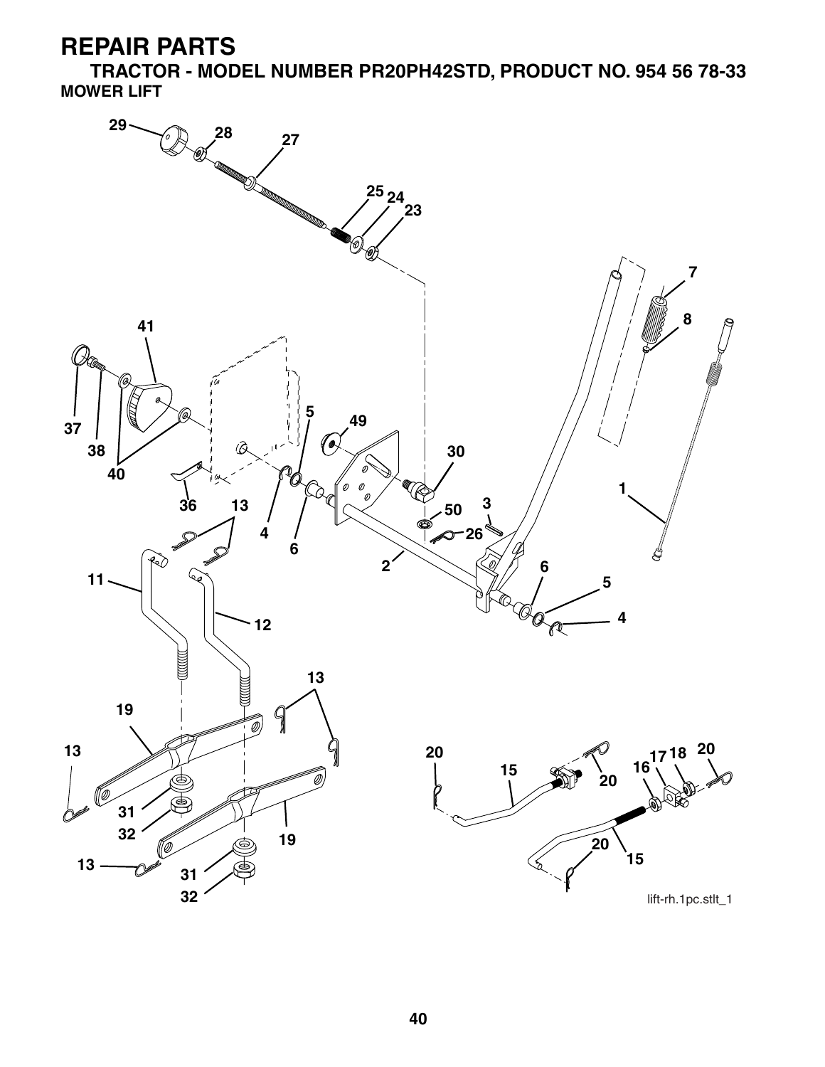**TRACTOR - MODEL NUMBER PR20PH42STD, PRODUCT NO. 954 56 78-33 MOWER LIFT**

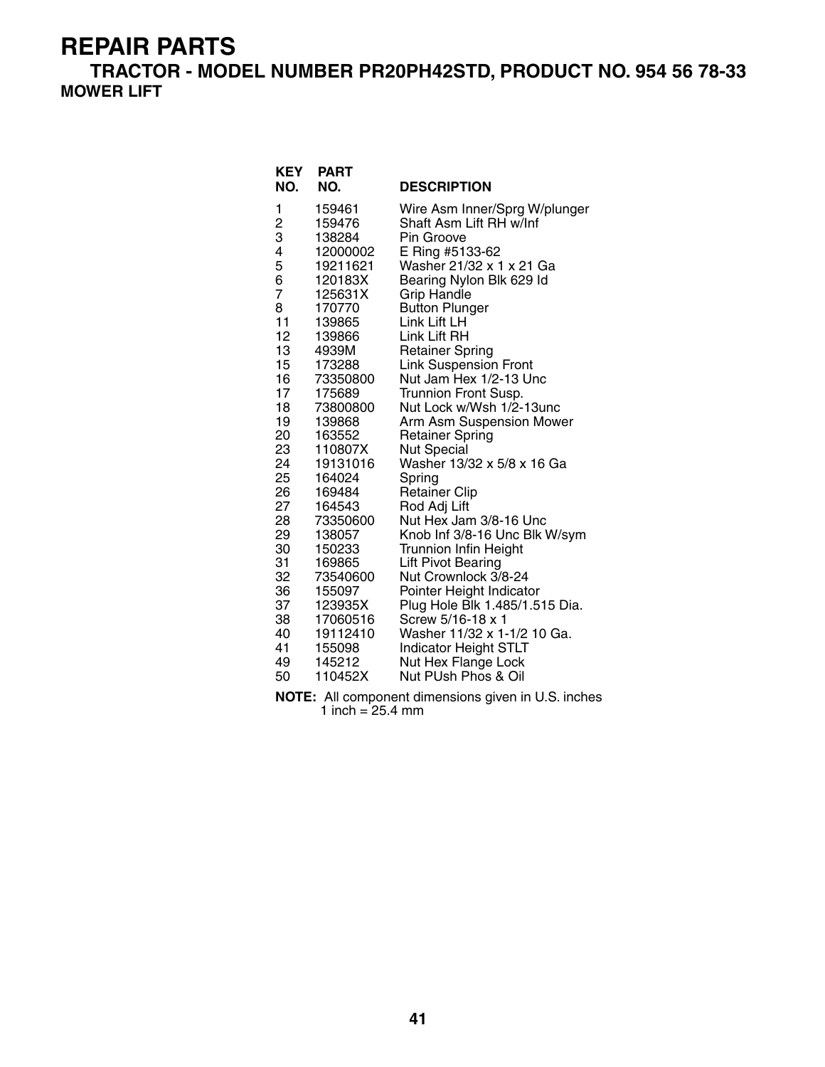**TRACTOR - MODEL NUMBER PR20PH42STD, PRODUCT NO. 954 56 78-33 MOWER LIFT**

| KEY<br>NO.                                                                                                                                                                                                           | <b>PART</b><br>NO.                                                                                                                                                                                                                                                                                                                                                     | <b>DESCRIPTION</b>                                                                                                                                                                                                                                                                                                                                                                                                                                                                                                                                                                                                                                                                                                                                                                                                                                                            |
|----------------------------------------------------------------------------------------------------------------------------------------------------------------------------------------------------------------------|------------------------------------------------------------------------------------------------------------------------------------------------------------------------------------------------------------------------------------------------------------------------------------------------------------------------------------------------------------------------|-------------------------------------------------------------------------------------------------------------------------------------------------------------------------------------------------------------------------------------------------------------------------------------------------------------------------------------------------------------------------------------------------------------------------------------------------------------------------------------------------------------------------------------------------------------------------------------------------------------------------------------------------------------------------------------------------------------------------------------------------------------------------------------------------------------------------------------------------------------------------------|
| 1<br>$\frac{2}{3}$<br>4<br>5<br>6<br>$\overline{7}$<br>8<br>11<br>12<br>13<br>15<br>16<br>17<br>18<br>19<br>20<br>23<br>24<br>25<br>26<br>27<br>28<br>29<br>30<br>31<br>32<br>36<br>37<br>38<br>40<br>41<br>49<br>50 | 159461<br>159476<br>138284<br>12000002<br>19211621<br>120183X<br>125631X<br>170770<br>139865<br>139866<br>4939M<br>173288<br>73350800<br>175689<br>73800800<br>139868<br>163552<br>110807X<br>19131016<br>164024<br>169484<br>164543<br>73350600<br>138057<br>150233<br>169865<br>73540600<br>155097<br>123935X<br>17060516<br>19112410<br>155098<br>145212<br>110452X | Wire Asm Inner/Sprg W/plunger<br>Shaft Asm Lift RH w/Inf<br>Pin Groove<br>E Ring #5133-62<br>Washer 21/32 x 1 x 21 Ga<br>Bearing Nylon Blk 629 Id<br><b>Grip Handle</b><br><b>Button Plunger</b><br>Link Lift LH<br>Link Lift RH<br><b>Retainer Spring</b><br><b>Link Suspension Front</b><br>Nut Jam Hex 1/2-13 Unc<br>Trunnion Front Susp.<br>Nut Lock w/Wsh 1/2-13unc<br>Arm Asm Suspension Mower<br><b>Retainer Spring</b><br><b>Nut Special</b><br>Washer 13/32 x 5/8 x 16 Ga<br>Spring<br><b>Retainer Clip</b><br>Rod Adj Lift<br>Nut Hex Jam 3/8-16 Unc<br>Knob Inf 3/8-16 Unc Blk W/sym<br>Trunnion Infin Height<br><b>Lift Pivot Bearing</b><br>Nut Crownlock 3/8-24<br>Pointer Height Indicator<br>Plug Hole Blk 1.485/1.515 Dia.<br>Screw 5/16-18 x 1<br>Washer 11/32 x 1-1/2 10 Ga.<br><b>Indicator Height STLT</b><br>Nut Hex Flange Lock<br>Nut PUsh Phos & Oil |
|                                                                                                                                                                                                                      |                                                                                                                                                                                                                                                                                                                                                                        |                                                                                                                                                                                                                                                                                                                                                                                                                                                                                                                                                                                                                                                                                                                                                                                                                                                                               |

**NOTE:** All component dimensions given in U.S. inches 1 inch = 25.4 mm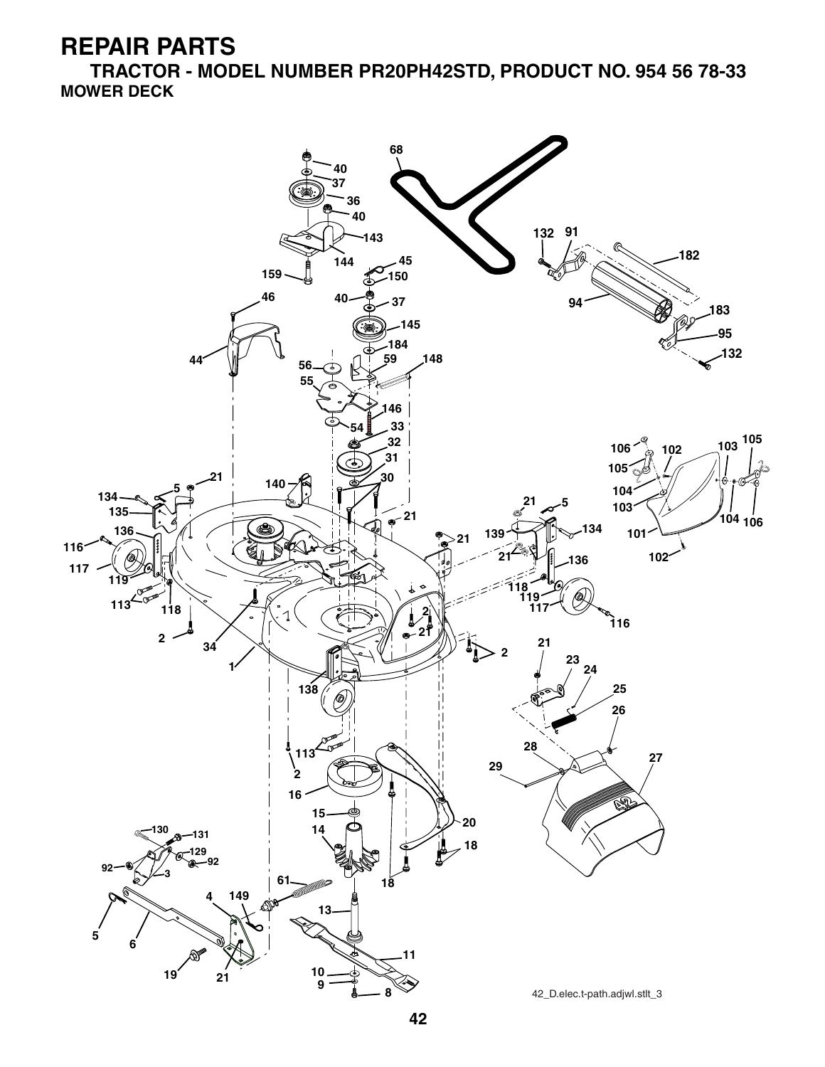**TRACTOR - MODEL NUMBER PR20PH42STD, PRODUCT NO. 954 56 78-33 MOWER DECK**